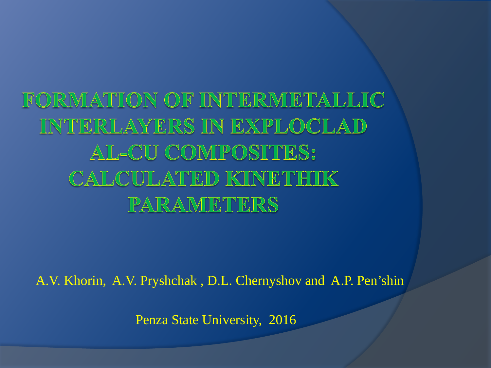FORMATION OF INTERMETALLIC INTERLAYERS IN EXPLOCLAD AL-CU COMPOSITES: CALCULATED KINETHIK PARAMETERS

A.V. Khorin, A.V. Pryshchak , D.L. Chernyshov and A.P. Pen'shin

Penza State University, 2016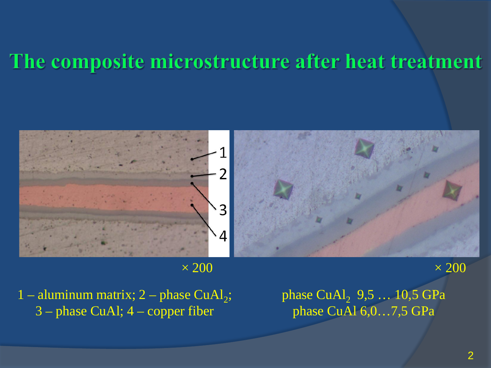### The composite microstructure after heat treatment



 $\times\,200$   $\times\,200$ 

1 – aluminum matrix;  $2$  – phase CuAl<sub>2</sub>; 3 – phase CuAl; 4 – copper fiber

phase  $CuAl<sub>2</sub>$  9,5 ... 10,5 GPa phase CuAl 6,0…7,5 GPa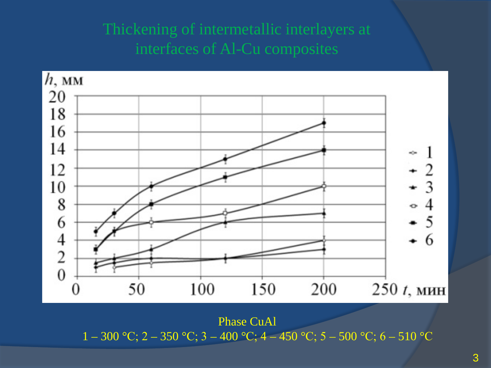#### Thickening of intermetallic interlayers at interfaces of Al-Cu composites



Phase CuAl 1 – 300 °C; 2 – 350 °C; 3 – 400 °C; 4 – 450 °C; 5 – 500 °C; 6 – 510 °C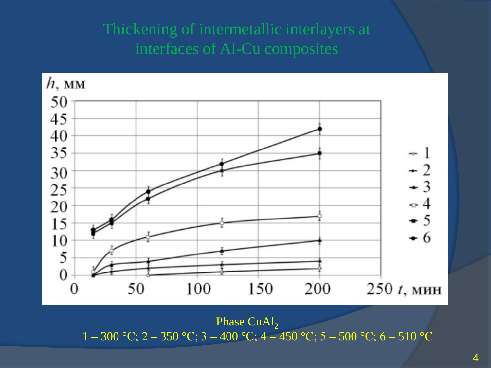#### Thickening of intermetallic interlayers at interfaces of Al-Cu composites



Phase CuAl<sub>2</sub> 1 – 300 °C; 2 – 350 °C; 3 – 400 °C; 4 – 450 °C; 5 – 500 °C; 6 – 510 °C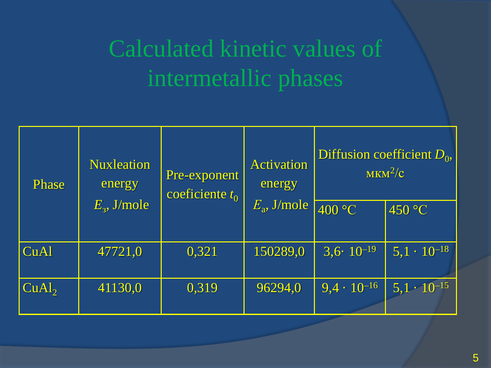# Calculated kinetic values of intermetallic phases

| <b>Phase</b>    | <b>Nuxleation</b><br>energy<br>$E_{\rm a}$ , J/mole | Pre-exponent<br>coeficiente $t_0$ | <b>Activation</b><br>energy<br>$E_{\rm a}$ , J/mole | Diffusion coefficient $D_0$ ,<br>$MKM^2/c$ |                      |
|-----------------|-----------------------------------------------------|-----------------------------------|-----------------------------------------------------|--------------------------------------------|----------------------|
|                 |                                                     |                                   |                                                     | 400 °C                                     | 450 °C               |
| <b>CuAl</b>     | 47721,0                                             | 0,321                             | 150289,0                                            | $3,6 \cdot 10^{-19}$                       | $5,1 \cdot 10^{-18}$ |
| $\text{CuAl}_2$ | 41130,0                                             | 0,319                             | 96294,0                                             | $9,4 \cdot 10^{-16}$                       | $5,1 \cdot 10^{-15}$ |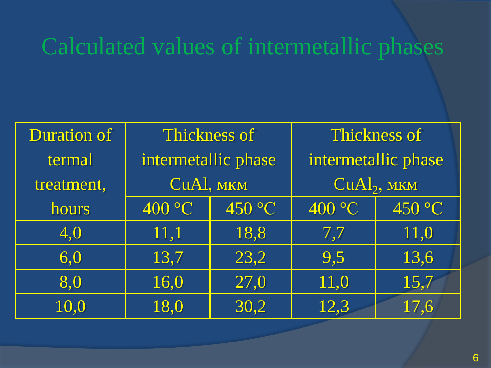## Calculated values of intermetallic phases

| <b>Duration of</b> | <b>Thickness of</b> |        | Thickness of            |        |  |
|--------------------|---------------------|--------|-------------------------|--------|--|
| termal             | intermetallic phase |        | intermetallic phase     |        |  |
| treatment,         | CuAl, MKM           |        | CuAl <sub>2</sub> , MKM |        |  |
| hours              | 400 °C              | 450 °C | 400 °C                  | 450 °C |  |
| 4,0                | 11,1                | 18,8   | 7,7                     | 11,0   |  |
| 6,0                | 13,7                | 23,2   | 9,5                     | 13,6   |  |
| 8,0                | 16,0                | 27,0   | 11,0                    | 15,7   |  |
| 10,0               | 18,0                | 30,2   | 12,3                    | 17,6   |  |